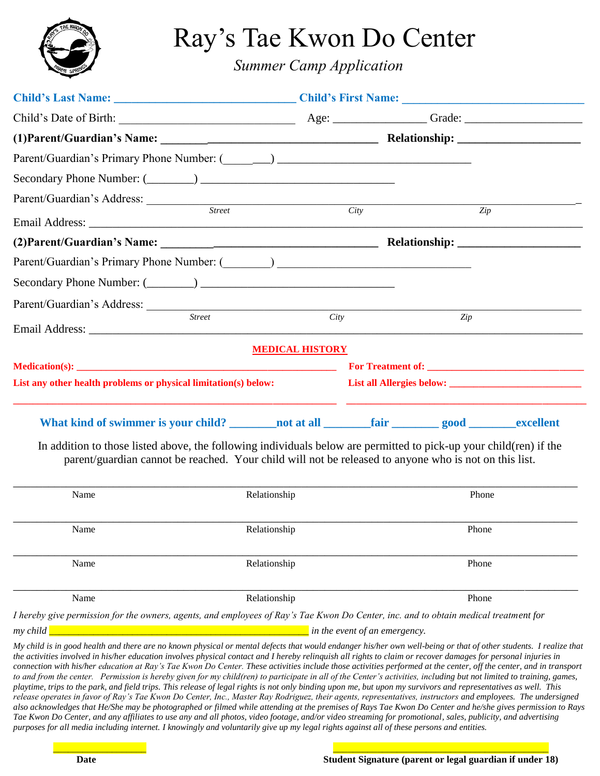

Ray's Tae Kwon Do Center

*Summer Camp Application*

| Parent/Guardian's Address: <u>Street City</u>                                                                                                                                                                               |                        |                  |  |
|-----------------------------------------------------------------------------------------------------------------------------------------------------------------------------------------------------------------------------|------------------------|------------------|--|
|                                                                                                                                                                                                                             |                        | $\overline{Zip}$ |  |
|                                                                                                                                                                                                                             |                        |                  |  |
|                                                                                                                                                                                                                             |                        |                  |  |
|                                                                                                                                                                                                                             |                        |                  |  |
|                                                                                                                                                                                                                             |                        |                  |  |
| <b>Street</b>                                                                                                                                                                                                               | City                   | Zip              |  |
|                                                                                                                                                                                                                             | <b>MEDICAL HISTORY</b> |                  |  |
|                                                                                                                                                                                                                             |                        |                  |  |
| List any other health problems or physical limitation(s) below:                                                                                                                                                             |                        |                  |  |
| What kind of swimmer is your child? ________ not at all _________ fair _________ good ________ excellent                                                                                                                    |                        |                  |  |
| In addition to those listed above, the following individuals below are permitted to pick-up your child(ren) if the<br>parent/guardian cannot be reached. Your child will not be released to anyone who is not on this list. |                        |                  |  |

| Name     | Relationship                                                                                                                                                                                                                                                                                                                        | Phone |  |
|----------|-------------------------------------------------------------------------------------------------------------------------------------------------------------------------------------------------------------------------------------------------------------------------------------------------------------------------------------|-------|--|
|          |                                                                                                                                                                                                                                                                                                                                     |       |  |
| Name     | Relationship                                                                                                                                                                                                                                                                                                                        | Phone |  |
|          |                                                                                                                                                                                                                                                                                                                                     |       |  |
| Name     | Relationship                                                                                                                                                                                                                                                                                                                        | Phone |  |
|          |                                                                                                                                                                                                                                                                                                                                     |       |  |
| Name     | Relationship                                                                                                                                                                                                                                                                                                                        | Phone |  |
|          | I hereby give permission for the owners, agents, and employees of Ray's Tae Kwon Do Center, inc. and to obtain medical treatment for                                                                                                                                                                                                |       |  |
| my child | in the event of an emergency.                                                                                                                                                                                                                                                                                                       |       |  |
|          | My child is in good health and there are no known physical or mental defects that would endanger his/her own well-being or that of other students. I realize that<br>the activities involved in his/her education involves physical contact and I hereby relinguish all rights to claim or recover damages for personal injuries in |       |  |

*connection with his/her education at Ray's Tae Kwon Do Center. These activities include those activities performed at the center, off the center, and in transport to and from the center. Permission is hereby given for my child(ren) to participate in all of the Center's activities, including but not limited to training, games, playtime, trips to the park, and field trips. This release of legal rights is not only binding upon me, but upon my survivors and representatives as well. This release operates in favor of Ray's Tae Kwon Do Center, Inc., Master Ray Rodriguez, their agents, representatives, instructors and employees. The undersigned also acknowledges that He/She may be photographed or filmed while attending at the premises of Rays Tae Kwon Do Center and he/she gives permission to Rays Tae Kwon Do Center, and any affiliates to use any and all photos, video footage, and/or video streaming for promotional, sales, publicity, and advertising purposes for all media including internet. I knowingly and voluntarily give up my legal rights against all of these persons and entities.*

\_\_\_\_\_\_\_\_\_\_\_\_\_\_\_\_\_\_\_ \_\_\_\_\_\_\_\_\_\_\_\_\_\_\_\_\_\_\_\_\_\_\_\_\_\_\_\_\_\_\_\_\_\_\_\_\_\_\_\_\_\_\_\_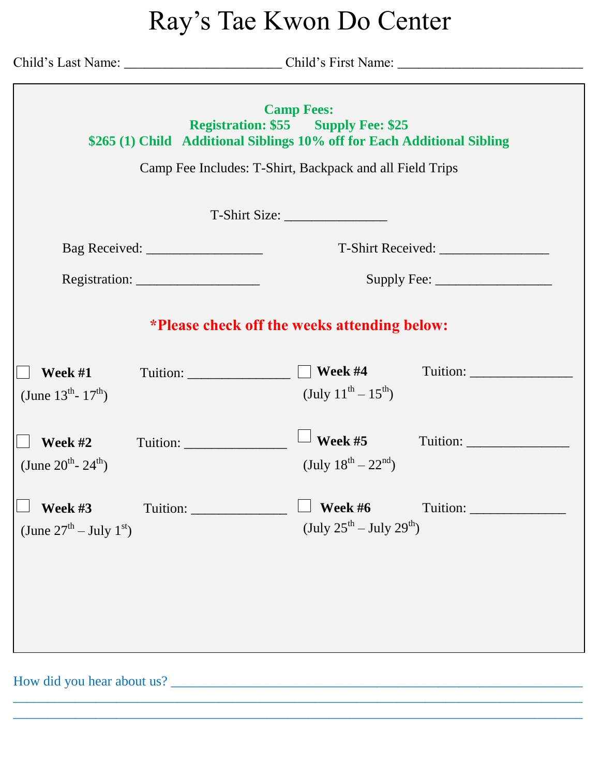## Ray's Tae Kwon Do Center

|                                                                            | <b>Camp Fees:</b><br><b>Registration: \$55 Supply Fee: \$25</b><br>\$265 (1) Child Additional Siblings 10% off for Each Additional Sibling<br>Camp Fee Includes: T-Shirt, Backpack and all Field Trips |  |  |  |
|----------------------------------------------------------------------------|--------------------------------------------------------------------------------------------------------------------------------------------------------------------------------------------------------|--|--|--|
|                                                                            |                                                                                                                                                                                                        |  |  |  |
|                                                                            |                                                                                                                                                                                                        |  |  |  |
| Registration: $\frac{1}{\sqrt{1-\frac{1}{2}} \cdot \frac{1}{2}}$           | Supply Fee: $\frac{2}{\sqrt{2}}$                                                                                                                                                                       |  |  |  |
| *Please check off the weeks attending below:                               |                                                                                                                                                                                                        |  |  |  |
| Tuition: $\Box$ Week #4<br><b>Week #1</b><br>(June $13^{th}$ - $17^{th}$ ) | (July $11^{th} - 15^{th}$ )                                                                                                                                                                            |  |  |  |
| <b>Week #2</b><br>(June $20^{th}$ - $24^{th}$ )                            | $\perp$ Week #5<br>(July $18^{th} - 22^{nd}$ )                                                                                                                                                         |  |  |  |
| Week #3<br>(June $27^{th}$ – July $1^{st}$ )                               | Week #6<br>(July $25^{th}$ – July $29^{th}$ )                                                                                                                                                          |  |  |  |
|                                                                            |                                                                                                                                                                                                        |  |  |  |

\_\_\_\_\_\_\_\_\_\_\_\_\_\_\_\_\_\_\_\_\_\_\_\_\_\_\_\_\_\_\_\_\_\_\_\_\_\_\_\_\_\_\_\_\_\_\_\_\_\_\_\_\_\_\_\_\_\_\_\_\_\_\_\_\_\_\_\_\_\_\_\_\_\_\_\_\_\_\_\_\_\_\_ \_\_\_\_\_\_\_\_\_\_\_\_\_\_\_\_\_\_\_\_\_\_\_\_\_\_\_\_\_\_\_\_\_\_\_\_\_\_\_\_\_\_\_\_\_\_\_\_\_\_\_\_\_\_\_\_\_\_\_\_\_\_\_\_\_\_\_\_\_\_\_\_\_\_\_\_\_\_\_\_\_\_\_

How did you hear about us? \_\_\_\_\_\_\_\_\_\_\_\_\_\_\_\_\_\_\_\_\_\_\_\_\_\_\_\_\_\_\_\_\_\_\_\_\_\_\_\_\_\_\_\_\_\_\_\_\_\_\_\_\_\_\_\_\_\_\_\_